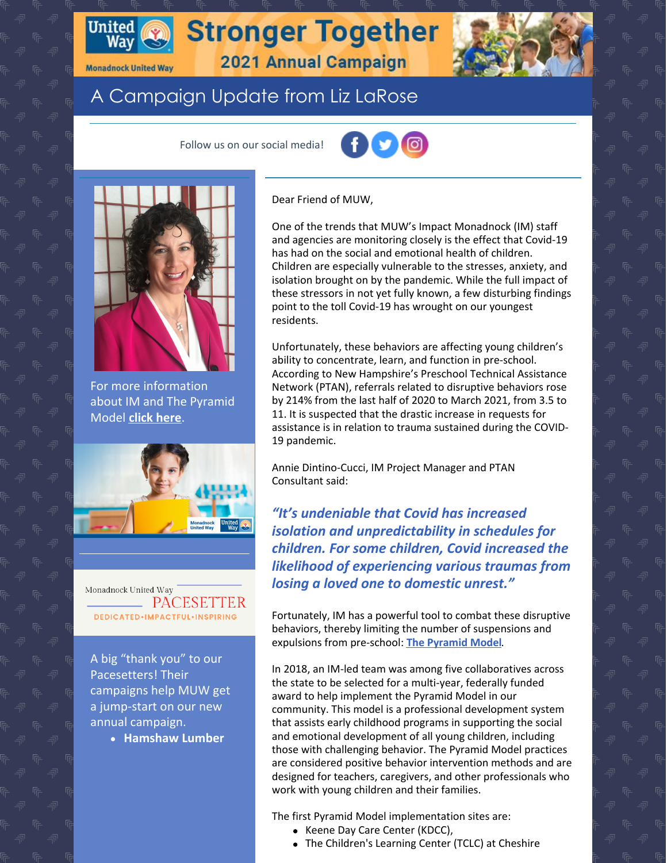

### **Monadnock United Way**

# A Campaign Update from Liz LaRose

Follow us on our social media!





For more information about IM and The Pyramid Model **click [here](https://www.muw.org/impact/what-pyramid-model)**.



Monadnock United Way PACESET DEDICATED.IMPACTFUL.INSPIRING

A big "thank you" to our Pacesetters! Their campaigns help MUW get a jump-start on our new annual campaign.

**Hamshaw Lumber**

#### Dear Friend of MUW,

**Stronger Together** 

2021 Annual Campaign

One of the trends that MUW's Impact Monadnock (IM) staff and agencies are monitoring closely is the effect that Covid-19 has had on the social and emotional health of children. Children are especially vulnerable to the stresses, anxiety, and isolation brought on by the pandemic. While the full impact of these stressors in not yet fully known, a few disturbing findings point to the toll Covid-19 has wrought on our youngest residents.

Unfortunately, these behaviors are affecting young children's ability to concentrate, learn, and function in pre-school. According to New Hampshire's Preschool Technical Assistance Network (PTAN), referrals related to disruptive behaviors rose by 214% from the last half of 2020 to March 2021, from 3.5 to 11. It is suspected that the drastic increase in requests for assistance is in relation to trauma sustained during the COVID-19 pandemic.

Annie Dintino-Cucci, IM Project Manager and PTAN Consultant said:

*"It's undeniable that Covid has increased isolation and unpredictability in schedules for children. For some children, Covid increased the likelihood of experiencing various traumas from losing a loved one to domestic unrest."*

Fortunately, IM has a powerful tool to combat these disruptive behaviors, thereby limiting the number of suspensions and expulsions from pre-school: **The [Pyramid](https://www.muw.org/impact/what-pyramid-model) Model**.

In 2018, an IM-led team was among five collaboratives across the state to be selected for a multi-year, federally funded award to help implement the Pyramid Model in our community. This model is a professional development system that assists early childhood programs in supporting the social and emotional development of all young children, including those with challenging behavior. The Pyramid Model practices are considered positive behavior intervention methods and are designed for teachers, caregivers, and other professionals who work with young children and their families.

The first Pyramid Model implementation sites are:

- Keene Day Care Center (KDCC),
- The Children's Learning Center (TCLC) at Cheshire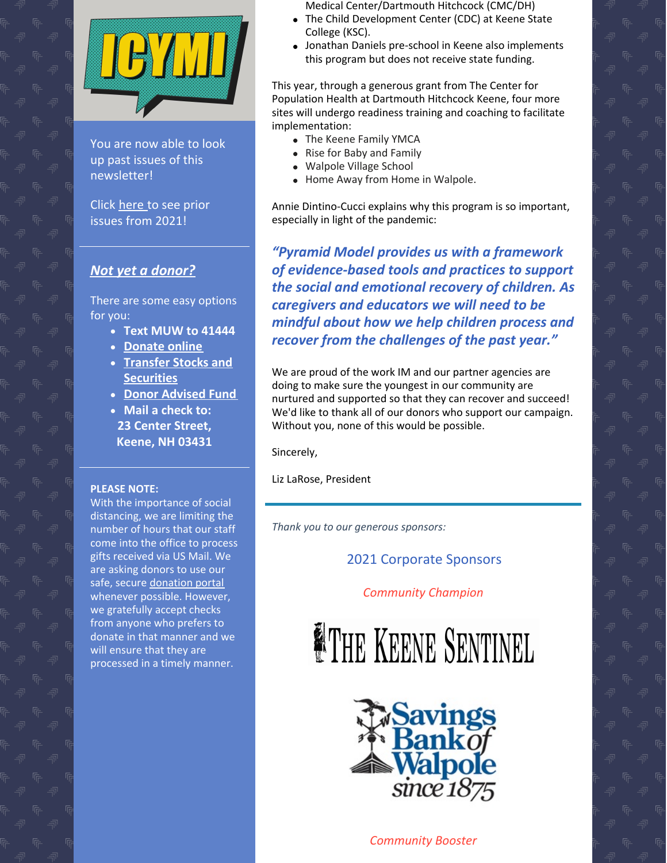

You are now able to look up past issues of this newsletter!

Click [here](https://www.muw.org/2021-newsletters) to see prior issues from 2021!

## *Not yet a [donor?](https://app.mobilecause.com/f/2vgz/n?reset=1&%253Bid=1&vid=cdoig)*

There are some easy options for you:

- **Text MUW to 41444**
- **[Donate](https://app.mobilecause.com/f/2vgz/n?reset=1&%253Bid=1&vid=b348n) online**
- **Transfer Stocks and [Securities](https://www.muw.org/planned-giving#stocks)**
- **Donor [Advised](https://www.muw.org/planned-giving#DAF) Fund**
- **Mail a check to: 23 Center Street, Keene, NH 03431**

#### **PLEASE NOTE:**

With the importance of social distancing, we are limiting the number of hours that our staff come into the office to process gifts received via US Mail. We are asking donors to use our safe, secure [donation](https://app.mobilecause.com/f/2vgz/n?reset=1&%253Bid=1&vid=f3bd4) portal whenever possible. However, we gratefully accept checks from anyone who prefers to donate in that manner and we will ensure that they are processed in a timely manner.

Medical Center/Dartmouth Hitchcock (CMC/DH)

- The Child Development Center (CDC) at Keene State College (KSC).
- Jonathan Daniels pre-school in Keene also implements this program but does not receive state funding.

This year, through a generous grant from The Center for Population Health at Dartmouth Hitchcock Keene, four more sites will undergo readiness training and coaching to facilitate implementation:

- The Keene Family YMCA
- Rise for Baby and Family
- Walpole Village School
- Home Away from Home in Walpole.

Annie Dintino-Cucci explains why this program is so important, especially in light of the pandemic:

*"Pyramid Model provides us with a framework of evidence-based tools and practices to support the social and emotional recovery of children. As caregivers and educators we will need to be mindful about how we help children process and recover from the challenges of the past year."*

We are proud of the work IM and our partner agencies are doing to make sure the youngest in our community are nurtured and supported so that they can recover and succeed! We'd like to thank all of our donors who support our campaign. Without you, none of this would be possible.

Sincerely,

Liz LaRose, President

*Thank you to our generous sponsors:*

## 2021 Corporate Sponsors

*Community Champion*





*Community Booster*